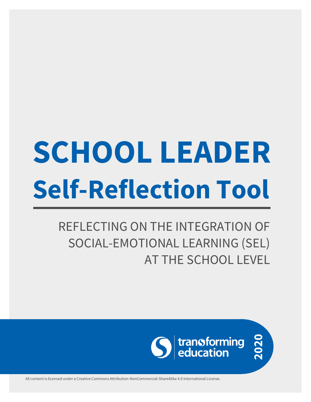# **SCHOOL LEADER Self-Reflection Tool**

REFLECTING ON THE INTEGRATION OF SOCIAL-EMOTIONAL LEARNING (SEL) AT THE SCHOOL LEVEL



All content is licensed under a Creative Commons Attribution-NonCommercial-ShareAlike 4.0 International License.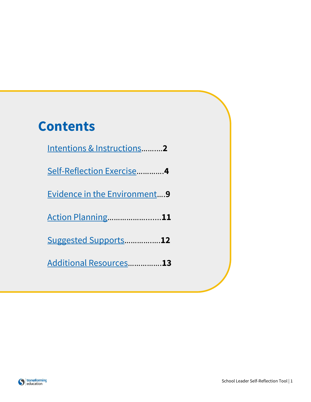## **Contents**

| Intentions & Instructions2          |
|-------------------------------------|
| Self-Reflection Exercise4           |
| <b>Evidence in the Environment9</b> |
| <b>Action Planning11</b>            |
| Suggested Supports12                |
| Additional Resources13              |

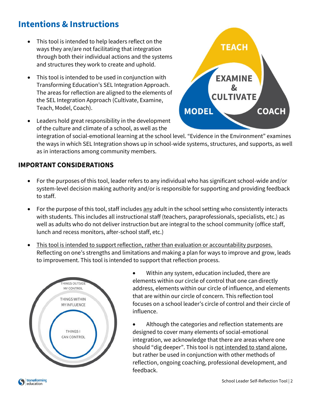## <span id="page-2-0"></span>**Intentions & Instructions**

- This tool is intended to help leaders reflect on the ways they are/are not facilitating that integration through both their individual actions and the systems and structures they work to create and uphold.
- This tool is intended to be used in conjunction with Transforming Education's SEL Integration Approach. The areas for reflection are aligned to the elements of the SEL Integration Approach (Cultivate, Examine, Teach, Model, Coach).



• Leaders hold great responsibility in the development of the culture and climate of a school, as well as the

integration of social-emotional learning at the school level. "Evidence in the Environment" examines the ways in which SEL Integration shows up in school-wide systems, structures, and supports, as well as in interactions among community members.

## **IMPORTANT CONSIDERATIONS**

- For the purposes of this tool, leader refers to any individual who has significant school-wide and/or system-level decision making authority and/or is responsible for supporting and providing feedback to staff.
- For the purpose of this tool, staff includes  $\frac{\text{any}}{\text{day}}$  adult in the school setting who consistently interacts with students. This includes all instructional staff (teachers, paraprofessionals, specialists, etc.) as well as adults who do not deliver instruction but are integral to the school community (office staff, lunch and recess monitors, after-school staff, etc.)
- This tool is intended to support reflection, rather than evaluation or accountability purposes. Reflecting on one's strengths and limitations and making a plan for ways to improve and grow, leads to improvement. This tool is intended to support that reflection process.



• Within any system, education included, there are elements within our circle of control that one can directly address, elements within our circle of influence, and elements that are within our circle of concern. This reflection tool focuses on a school leader's circle of control and their circle of influence.

• Although the categories and reflection statements are designed to cover many elements of social-emotional integration, we acknowledge that there are areas where one should "dig deeper". This tool is not intended to stand alone, but rather be used in conjunction with other methods of reflection, ongoing coaching, professional development, and feedback.

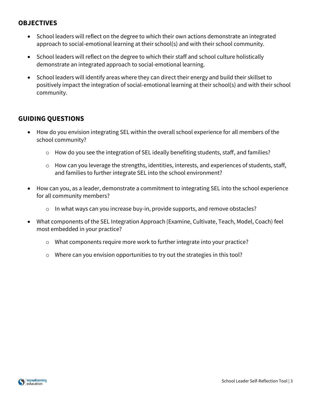## **OBJECTIVES**

- School leaders will reflect on the degree to which their own actions demonstrate an integrated approach to social-emotional learning at their school(s) and with their school community.
- School leaders will reflect on the degree to which their staff and school culture holistically demonstrate an integrated approach to social-emotional learning.
- School leaders will identify areas where they can direct their energy and build their skillset to positively impact the integration of social-emotional learning at their school(s) and with their school community.

## **GUIDING QUESTIONS**

- How do you envision integrating SEL within the overall school experience for all members of the school community?
	- $\circ$  How do you see the integration of SEL ideally benefiting students, staff, and families?
	- o How can you leverage the strengths, identities, interests, and experiences of students, staff, and families to further integrate SEL into the school environment?
- How can you, as a leader, demonstrate a commitment to integrating SEL into the school experience for all community members?
	- o In what ways can you increase buy-in, provide supports, and remove obstacles?
- What components of the SEL Integration Approach (Examine, Cultivate, Teach, Model, Coach) feel most embedded in your practice?
	- o What components require more work to further integrate into your practice?
	- $\circ$  Where can you envision opportunities to try out the strategies in this tool?

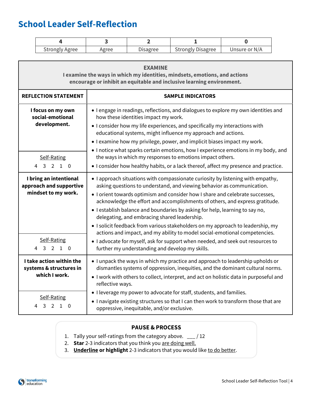## <span id="page-4-0"></span>**School Leader Self-Reflection**

| <b>Strongly Agree</b> | <b>Agree</b> | <b>Disagree</b> | <b>Strongly Disagree</b> | Unsure or N/A |
|-----------------------|--------------|-----------------|--------------------------|---------------|

| <b>EXAMINE</b><br>I examine the ways in which my identities, mindsets, emotions, and actions<br>encourage or inhibit an equitable and inclusive learning environment. |                                                                                                                                                                                                                                                                                                                                                                                                                                                                                                                                                                                                                                                                                                                                                                   |  |  |
|-----------------------------------------------------------------------------------------------------------------------------------------------------------------------|-------------------------------------------------------------------------------------------------------------------------------------------------------------------------------------------------------------------------------------------------------------------------------------------------------------------------------------------------------------------------------------------------------------------------------------------------------------------------------------------------------------------------------------------------------------------------------------------------------------------------------------------------------------------------------------------------------------------------------------------------------------------|--|--|
| <b>REFLECTION STATEMENT</b>                                                                                                                                           | <b>SAMPLE INDICATORS</b>                                                                                                                                                                                                                                                                                                                                                                                                                                                                                                                                                                                                                                                                                                                                          |  |  |
| I focus on my own<br>social-emotional<br>development.                                                                                                                 | • I engage in readings, reflections, and dialogues to explore my own identities and<br>how these identities impact my work.<br>• I consider how my life experiences, and specifically my interactions with<br>educational systems, might influence my approach and actions.<br>• I examine how my privilege, power, and implicit biases impact my work.<br>. I notice what sparks certain emotions, how I experience emotions in my body, and                                                                                                                                                                                                                                                                                                                     |  |  |
| Self-Rating<br>4<br>3 2 1 0                                                                                                                                           | the ways in which my responses to emotions impact others.<br>• I consider how healthy habits, or a lack thereof, affect my presence and practice.                                                                                                                                                                                                                                                                                                                                                                                                                                                                                                                                                                                                                 |  |  |
| I bring an intentional<br>approach and supportive<br>mindset to my work.<br>Self-Rating<br>4<br>3 2 1 0                                                               | • I approach situations with compassionate curiosity by listening with empathy,<br>asking questions to understand, and viewing behavior as communication.<br>• I orient towards optimism and consider how I share and celebrate successes,<br>acknowledge the effort and accomplishments of others, and express gratitude.<br>• I establish balance and boundaries by asking for help, learning to say no,<br>delegating, and embracing shared leadership.<br>• I solicit feedback from various stakeholders on my approach to leadership, my<br>actions and impact, and my ability to model social-emotional competencies.<br>• I advocate for myself, ask for support when needed, and seek out resources to<br>further my understanding and develop my skills. |  |  |
| I take action within the<br>systems & structures in<br>which I work.                                                                                                  | • I unpack the ways in which my practice and approach to leadership upholds or<br>dismantles systems of oppression, inequities, and the dominant cultural norms.<br>I work with others to collect, interpret, and act on holistic data in purposeful and<br>reflective ways.<br>• I leverage my power to advocate for staff, students, and families.                                                                                                                                                                                                                                                                                                                                                                                                              |  |  |
| Self-Rating<br>3<br>$\mathcal{P}$<br>$\mathbf{1}$<br>4<br>$\Omega$                                                                                                    | • I navigate existing structures so that I can then work to transform those that are<br>oppressive, inequitable, and/or exclusive.                                                                                                                                                                                                                                                                                                                                                                                                                                                                                                                                                                                                                                |  |  |

- 1. Tally your self-ratings from the category above. \_\_\_ / 12
- 2. **Star** 2-3 indicators that you think you are doing well.
- 3. **Underline or highlight** 2-3 indicators that you would like to do better.

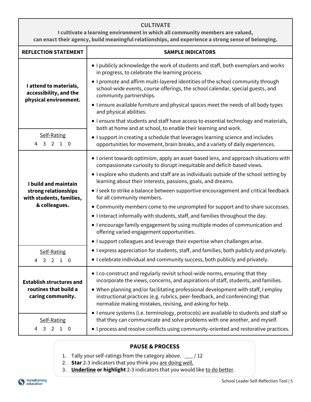## **CULTIVATE**

**I cultivate a learning environment in which all community members are valued, can enact their agency, build meaningful relationships, and experience a strong sense of belonging.**

| <b>REFLECTION STATEMENT</b>                                                   | <b>SAMPLE INDICATORS</b>                                                                                                                                                                                                       |  |  |
|-------------------------------------------------------------------------------|--------------------------------------------------------------------------------------------------------------------------------------------------------------------------------------------------------------------------------|--|--|
| I attend to materials,<br>accessibility, and the                              | . I publicly acknowledge the work of students and staff, both exemplars and works<br>in progress, to celebrate the learning process.                                                                                           |  |  |
|                                                                               | • I promote and affirm multi-layered identities of the school community through<br>school-wide events, course offerings, the school calendar, special guests, and<br>community partnerships.                                   |  |  |
| physical environment.                                                         | • I ensure available furniture and physical spaces meet the needs of all body types<br>and physical abilities.                                                                                                                 |  |  |
|                                                                               | . I ensure that students and staff have access to essential technology and materials,<br>both at home and at school, to enable their learning and work.                                                                        |  |  |
| Self-Rating<br>3 2 1 0<br>4                                                   | • I support in creating a schedule that leverages learning science and includes<br>opportunities for movement, brain breaks, and a variety of daily experiences.                                                               |  |  |
| I build and maintain<br>strong relationships<br>with students, families,      | • I orient towards optimism, apply an asset-based lens, and approach situations with<br>compassionate curiosity to disrupt inequitable and deficit-based views.                                                                |  |  |
|                                                                               | • I explore who students and staff are as individuals outside of the school setting by<br>learning about their interests, passions, goals, and dreams.                                                                         |  |  |
|                                                                               | • I seek to strike a balance between supportive encouragement and critical feedback<br>for all community members.                                                                                                              |  |  |
| & colleagues.                                                                 | • Community members come to me unprompted for support and to share successes.                                                                                                                                                  |  |  |
|                                                                               | • I interact informally with students, staff, and families throughout the day.                                                                                                                                                 |  |  |
|                                                                               | • I encourage family engagement by using multiple modes of communication and<br>offering varied engagement opportunities.                                                                                                      |  |  |
|                                                                               | • I support colleagues and leverage their expertise when challenges arise.                                                                                                                                                     |  |  |
| Self-Rating                                                                   | • I express appreciation for students, staff, and families, both publicly and privately.                                                                                                                                       |  |  |
| $\mathbf{3}$<br>$2 \quad 1 \quad 0$<br>4                                      | • I celebrate individual and community success, both publicly and privately.                                                                                                                                                   |  |  |
| <b>Establish structures and</b><br>routines that build a<br>caring community. | • I co-construct and regularly revisit school-wide norms, ensuring that they<br>incorporate the views, concerns, and aspirations of staff, students, and families.                                                             |  |  |
|                                                                               | • When planning and/or facilitating professional development with staff, I employ<br>instructional practices (e.g. rubrics, peer-feedback, and conferencing) that<br>normalize making mistakes, revising, and asking for help. |  |  |
|                                                                               | • I ensure systems (i.e. terminology, protocols) are available to students and staff so                                                                                                                                        |  |  |
| Self-Rating<br>$\overline{3}$<br>2 1 0<br>4                                   | that they can communicate and solve problems with one another, and myself.<br>• I process and resolve conflicts using community-oriented and restorative practices.                                                            |  |  |

- 1. Tally your self-ratings from the category above.  $\frac{1}{2}$  / 12
- 2. **Star** 2-3 indicators that you think you are doing well.
- 3. **Underline or highlight** 2-3 indicators that you would like to do better.

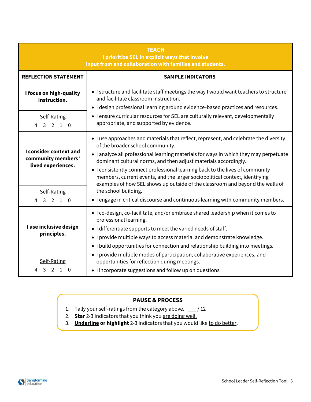| <b>TEACH</b><br>I prioritize SEL in explicit ways that involve<br>input from and collaboration with families and students. |                                                                                                                                                                                                                                                                                                                                                                                                                                                                                                                                      |  |  |
|----------------------------------------------------------------------------------------------------------------------------|--------------------------------------------------------------------------------------------------------------------------------------------------------------------------------------------------------------------------------------------------------------------------------------------------------------------------------------------------------------------------------------------------------------------------------------------------------------------------------------------------------------------------------------|--|--|
| <b>REFLECTION STATEMENT</b>                                                                                                | <b>SAMPLE INDICATORS</b>                                                                                                                                                                                                                                                                                                                                                                                                                                                                                                             |  |  |
| I focus on high-quality<br>instruction.                                                                                    | • I structure and facilitate staff meetings the way I would want teachers to structure<br>and facilitate classroom instruction.<br>. I design professional learning around evidence-based practices and resources.                                                                                                                                                                                                                                                                                                                   |  |  |
| Self-Rating<br>3 2 1 0<br>4                                                                                                | • I ensure curricular resources for SEL are culturally relevant, developmentally<br>appropriate, and supported by evidence.                                                                                                                                                                                                                                                                                                                                                                                                          |  |  |
| I consider context and<br>community members'<br>lived experiences.                                                         | I use approaches and materials that reflect, represent, and celebrate the diversity<br>of the broader school community.<br>. I analyze all professional learning materials for ways in which they may perpetuate<br>dominant cultural norms, and then adjust materials accordingly.<br>• I consistently connect professional learning back to the lives of community<br>members, current events, and the larger sociopolitical context, identifying<br>examples of how SEL shows up outside of the classroom and beyond the walls of |  |  |
| Self-Rating<br>3 2 1 0<br>4                                                                                                | the school building.<br>• I engage in critical discourse and continuous learning with community members.                                                                                                                                                                                                                                                                                                                                                                                                                             |  |  |
| I use inclusive design<br>principles.                                                                                      | . I co-design, co-facilitate, and/or embrace shared leadership when it comes to<br>professional learning.<br>• I differentiate supports to meet the varied needs of staff.<br>• I provide multiple ways to access material and demonstrate knowledge.<br>• I build opportunities for connection and relationship building into meetings.                                                                                                                                                                                             |  |  |
| Self-Rating<br>3<br>2<br>-1<br>n                                                                                           | • I provide multiple modes of participation, collaborative experiences, and<br>opportunities for reflection during meetings.<br>• I incorporate suggestions and follow up on questions.                                                                                                                                                                                                                                                                                                                                              |  |  |

- 1. Tally your self-ratings from the category above. \_\_\_ / 12
- 2. **Star** 2-3 indicators that you think you are doing well.

ue

3. **Underline or highlight** 2-3 indicators that you would like to do better.

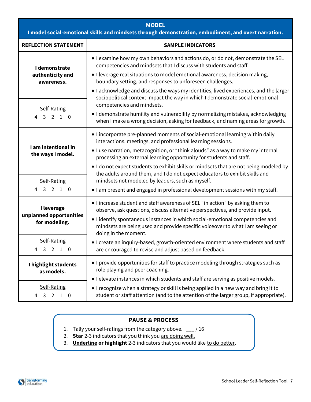| <b>MODEL</b><br>I model social-emotional skills and mindsets through demonstration, embodiment, and overt narration. |                                                                                                                                                                                                                                                                                                                                                         |  |  |
|----------------------------------------------------------------------------------------------------------------------|---------------------------------------------------------------------------------------------------------------------------------------------------------------------------------------------------------------------------------------------------------------------------------------------------------------------------------------------------------|--|--|
| <b>REFLECTION STATEMENT</b>                                                                                          | <b>SAMPLE INDICATORS</b>                                                                                                                                                                                                                                                                                                                                |  |  |
| I demonstrate<br>authenticity and                                                                                    | • I examine how my own behaviors and actions do, or do not, demonstrate the SEL<br>competencies and mindsets that I discuss with students and staff.<br>• I leverage real situations to model emotional awareness, decision making,                                                                                                                     |  |  |
| awareness.                                                                                                           | boundary setting, and responses to unforeseen challenges.<br>• I acknowledge and discuss the ways my identities, lived experiences, and the larger<br>sociopolitical context impact the way in which I demonstrate social-emotional                                                                                                                     |  |  |
| Self-Rating<br>4 3 2 1 0                                                                                             | competencies and mindsets.<br>• I demonstrate humility and vulnerability by normalizing mistakes, acknowledging<br>when I make a wrong decision, asking for feedback, and naming areas for growth.                                                                                                                                                      |  |  |
| I am intentional in<br>the ways I model.                                                                             | • I incorporate pre-planned moments of social-emotional learning within daily<br>interactions, meetings, and professional learning sessions.<br>• I use narration, metacognition, or "think alouds" as a way to make my internal<br>processing an external learning opportunity for students and staff.                                                 |  |  |
|                                                                                                                      | I do not expect students to exhibit skills or mindsets that are not being modeled by<br>the adults around them, and I do not expect educators to exhibit skills and<br>mindsets not modeled by leaders, such as myself.                                                                                                                                 |  |  |
| Self-Rating<br>3 2 1 0<br>$\overline{4}$                                                                             | . I am present and engaged in professional development sessions with my staff.                                                                                                                                                                                                                                                                          |  |  |
| I leverage<br>unplanned opportunities<br>for modeling.                                                               | • I increase student and staff awareness of SEL "in action" by asking them to<br>observe, ask questions, discuss alternative perspectives, and provide input.<br>• I identify spontaneous instances in which social-emotional competencies and<br>mindsets are being used and provide specific voiceover to what I am seeing or<br>doing in the moment. |  |  |
| Self-Rating<br>3 2 1 0<br>4                                                                                          | • I create an inquiry-based, growth-oriented environment where students and staff<br>are encouraged to revise and adjust based on feedback.                                                                                                                                                                                                             |  |  |
| I highlight students<br>as models.                                                                                   | • I provide opportunities for staff to practice modeling through strategies such as<br>role playing and peer coaching.                                                                                                                                                                                                                                  |  |  |
| Self-Rating<br>3 2 1 0<br>4                                                                                          | . I elevate instances in which students and staff are serving as positive models.<br>• I recognize when a strategy or skill is being applied in a new way and bring it to<br>student or staff attention (and to the attention of the larger group, if appropriate).                                                                                     |  |  |

- 1. Tally your self-ratings from the category above. \_\_\_ / 16
- 2. **Star** 2-3 indicators that you think you are doing well.
- 3. **Underline or highlight** 2-3 indicators that you would like to do better.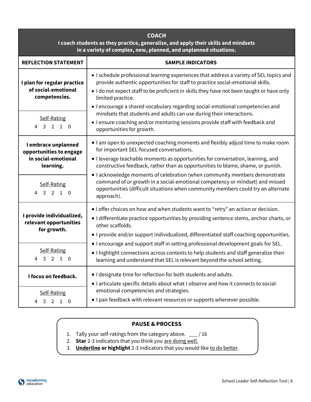| <b>COACH</b><br>I coach students as they practice, generalize, and apply their skills and mindsets<br>in a variety of complex, new, planned, and unplanned situations. |                                                                                                                                                                                                                                                                                                                                                                                  |  |  |
|------------------------------------------------------------------------------------------------------------------------------------------------------------------------|----------------------------------------------------------------------------------------------------------------------------------------------------------------------------------------------------------------------------------------------------------------------------------------------------------------------------------------------------------------------------------|--|--|
| <b>REFLECTION STATEMENT</b>                                                                                                                                            | <b>SAMPLE INDICATORS</b>                                                                                                                                                                                                                                                                                                                                                         |  |  |
| I plan for regular practice<br>of social-emotional<br>competencies.                                                                                                    | • I schedule professional learning experiences that address a variety of SEL topics and<br>provide authentic opportunities for staff to practice social-emotional skills.<br>• I do not expect staff to be proficient in skills they have not been taught or have only<br>limited practice.<br>• I encourage a shared vocabulary regarding social-emotional competencies and     |  |  |
| Self-Rating<br>$\overline{4}$<br>3 2 1 0                                                                                                                               | mindsets that students and adults can use during their interactions.<br>• I ensure coaching and/or mentoring sessions provide staff with feedback and<br>opportunities for growth.                                                                                                                                                                                               |  |  |
| I embrace unplanned<br>opportunities to engage<br>in social-emotional<br>learning.                                                                                     | . I am open to unexpected coaching moments and flexibly adjust time to make room<br>for important SEL-focused conversations.<br>• I leverage teachable moments as opportunities for conversation, learning, and<br>constructive feedback, rather than as opportunities to blame, shame, or punish.<br>• I acknowledge moments of celebration (when community members demonstrate |  |  |
| Self-Rating<br>3 2 1 0<br>$\overline{4}$                                                                                                                               | command of or growth in a social-emotional competency or mindset) and missed<br>opportunities (difficult situations when community members could try an alternate<br>approach).                                                                                                                                                                                                  |  |  |
| I provide individualized,<br>relevant opportunities<br>for growth.                                                                                                     | • I offer choices on how and when students want to "retry" an action or decision.<br>• I differentiate practice opportunities by providing sentence stems, anchor charts, or<br>other scaffolds.<br>• I provide and/or support individualized, differentiated staff coaching opportunities.                                                                                      |  |  |
| Self-Rating<br>4 3 2 1 0                                                                                                                                               | . I encourage and support staff in setting professional development goals for SEL.<br>. I highlight connections across contexts to help students and staff generalize their<br>learning and understand that SEL is relevant beyond the school setting.                                                                                                                           |  |  |
| I focus on feedback.<br>Self-Rating<br>4 3 2 1 0                                                                                                                       | . I designate time for reflection for both students and adults.<br>• I articulate specific details about what I observe and how it connects to social-<br>emotional competencies and strategies.<br>• I pair feedback with relevant resources or supports whenever possible.                                                                                                     |  |  |
|                                                                                                                                                                        |                                                                                                                                                                                                                                                                                                                                                                                  |  |  |

- 1. Tally your self-ratings from the category above. \_\_\_ / 16
- 2. **Star** 2-3 indicators that you think you are doing well.
- 3. **Underline or highlight** 2-3 indicators that you would like to do better.



4.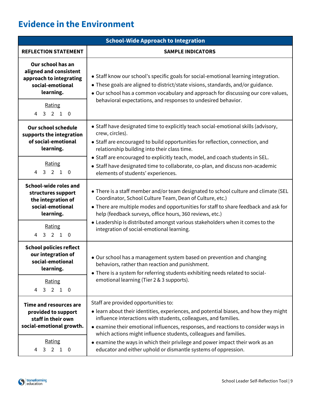## <span id="page-9-0"></span>**Evidence in the Environment**

| <b>School-Wide Approach to Integration</b>                                                                                                     |                                                                                                                                                                                                                                                                                                                                                                                                                                                                                                               |  |  |
|------------------------------------------------------------------------------------------------------------------------------------------------|---------------------------------------------------------------------------------------------------------------------------------------------------------------------------------------------------------------------------------------------------------------------------------------------------------------------------------------------------------------------------------------------------------------------------------------------------------------------------------------------------------------|--|--|
| <b>REFLECTION STATEMENT</b>                                                                                                                    | <b>SAMPLE INDICATORS</b>                                                                                                                                                                                                                                                                                                                                                                                                                                                                                      |  |  |
| Our school has an<br>aligned and consistent<br>approach to integrating<br>social-emotional<br>learning.                                        | • Staff know our school's specific goals for social-emotional learning integration.<br>• These goals are aligned to district/state visions, standards, and/or guidance.<br>. Our school has a common vocabulary and approach for discussing our core values,                                                                                                                                                                                                                                                  |  |  |
| Rating<br>4 3 2 1 0                                                                                                                            | behavioral expectations, and responses to undesired behavior.                                                                                                                                                                                                                                                                                                                                                                                                                                                 |  |  |
| <b>Our school schedule</b><br>supports the integration<br>of social-emotional<br>learning.                                                     | • Staff have designated time to explicitly teach social-emotional skills (advisory,<br>crew, circles).<br>• Staff are encouraged to build opportunities for reflection, connection, and<br>relationship building into their class time.                                                                                                                                                                                                                                                                       |  |  |
| Rating<br>4 3 2 1 0                                                                                                                            | • Staff are encouraged to explicitly teach, model, and coach students in SEL.<br>• Staff have designated time to collaborate, co-plan, and discuss non-academic<br>elements of students' experiences.                                                                                                                                                                                                                                                                                                         |  |  |
| <b>School-wide roles and</b><br>structures support<br>the integration of<br>social-emotional<br>learning.                                      | • There is a staff member and/or team designated to school culture and climate (SEL<br>Coordinator, School Culture Team, Dean of Culture, etc.)<br>• There are multiple modes and opportunities for staff to share feedback and ask for<br>help (feedback surveys, office hours, 360 reviews, etc.)                                                                                                                                                                                                           |  |  |
| Rating<br>4 3 2 1 0                                                                                                                            | • Leadership is distributed amongst various stakeholders when it comes to the<br>integration of social-emotional learning.                                                                                                                                                                                                                                                                                                                                                                                    |  |  |
| <b>School policies reflect</b><br>our integration of<br>social-emotional<br>learning.                                                          | • Our school has a management system based on prevention and changing<br>behaviors, rather than reaction and punishment.<br>• There is a system for referring students exhibiting needs related to social-                                                                                                                                                                                                                                                                                                    |  |  |
| Rating<br>3 2 1 0<br>4                                                                                                                         | emotional learning (Tier 2 & 3 supports).                                                                                                                                                                                                                                                                                                                                                                                                                                                                     |  |  |
| Time and resources are<br>provided to support<br>staff in their own<br>social-emotional growth.<br>Rating<br>$4 \quad 3 \quad 2$<br>$1\quad 0$ | Staff are provided opportunities to:<br>• learn about their identities, experiences, and potential biases, and how they might<br>influence interactions with students, colleagues, and families.<br>• examine their emotional influences, responses, and reactions to consider ways in<br>which actions might influence students, colleagues and families.<br>• examine the ways in which their privilege and power impact their work as an<br>educator and either uphold or dismantle systems of oppression. |  |  |

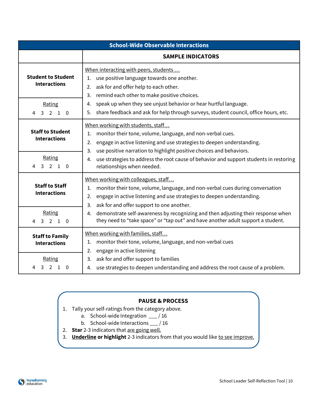| <b>School-Wide Observable Interactions</b>       |                                                                                                                                                                                                                                                                    |  |
|--------------------------------------------------|--------------------------------------------------------------------------------------------------------------------------------------------------------------------------------------------------------------------------------------------------------------------|--|
|                                                  | <b>SAMPLE INDICATORS</b>                                                                                                                                                                                                                                           |  |
| <b>Student to Student</b><br><b>Interactions</b> | When interacting with peers, students<br>use positive language towards one another.<br>1.<br>ask for and offer help to each other.<br>2.<br>remind each other to make positive choices.<br>3.                                                                      |  |
| Rating<br>3 2 1 0<br>4                           | speak up when they see unjust behavior or hear hurtful language.<br>4.<br>share feedback and ask for help through surveys, student council, office hours, etc.<br>5.                                                                                               |  |
| <b>Staff to Student</b><br><b>Interactions</b>   | When working with students, staff<br>monitor their tone, volume, language, and non-verbal cues.<br>1.<br>engage in active listening and use strategies to deepen understanding.<br>2.<br>use positive narration to highlight positive choices and behaviors.<br>3. |  |
| Rating<br>3 2 1 0<br>4                           | use strategies to address the root cause of behavior and support students in restoring<br>4.<br>relationships when needed.                                                                                                                                         |  |
| <b>Staff to Staff</b><br><b>Interactions</b>     | When working with colleagues, staff<br>monitor their tone, volume, language, and non-verbal cues during conversation<br>1.<br>engage in active listening and use strategies to deepen understanding.<br>2.<br>ask for and offer support to one another.<br>3.      |  |
| Rating<br>3 2 1 0<br>4                           | demonstrate self-awareness by recognizing and then adjusting their response when<br>4.<br>they need to "take space" or "tap out" and have another adult support a student.                                                                                         |  |
| <b>Staff to Family</b><br><b>Interactions</b>    | When working with families, staff<br>monitor their tone, volume, language, and non-verbal cues<br>1.<br>engage in active listening<br>2.                                                                                                                           |  |
| Rating<br>$3 \t2 \t1$<br>4<br>- 0                | ask for and offer support to families<br>3.<br>use strategies to deepen understanding and address the root cause of a problem.<br>4.                                                                                                                               |  |

- 1. Tally your self-ratings from the category above.
	- a. School-wide Integration \_\_\_ / 16
	- b. School-wide Interactions \_\_\_ / 16
- 2. **Star** 2-3 indicators that are going well.
- 3. **Underline or highlight** 2-3 indicators from that you would like to see improve.

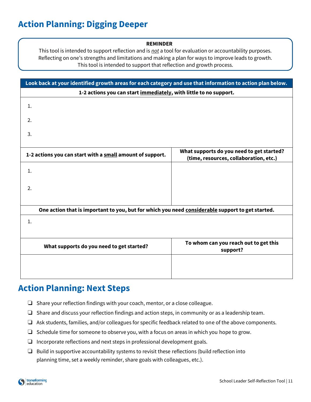## <span id="page-11-0"></span>**Action Planning: Digging Deeper**

#### **REMINDER**

This tool is intended to support reflection and is *not* a tool for evaluation or accountability purposes. Reflecting on one's strengths and limitations and making a plan for ways to improve leads to growth. This tool is intended to support that reflection and growth process.

| Look back at your identified growth areas for each category and use that information to action plan below. |                                                                                     |  |
|------------------------------------------------------------------------------------------------------------|-------------------------------------------------------------------------------------|--|
| 1-2 actions you can start immediately, with little to no support.                                          |                                                                                     |  |
| 1.                                                                                                         |                                                                                     |  |
| 2.                                                                                                         |                                                                                     |  |
| 3.                                                                                                         |                                                                                     |  |
| 1-2 actions you can start with a small amount of support.                                                  | What supports do you need to get started?<br>(time, resources, collaboration, etc.) |  |
| 1.                                                                                                         |                                                                                     |  |
| 2.                                                                                                         |                                                                                     |  |
| One action that is important to you, but for which you need considerable support to get started.           |                                                                                     |  |
| 1.                                                                                                         |                                                                                     |  |
| What supports do you need to get started?                                                                  | To whom can you reach out to get this<br>support?                                   |  |
|                                                                                                            |                                                                                     |  |

## **Action Planning: Next Steps**

- ❏ Share your reflection findings with your coach, mentor, or a close colleague.
- ❏ Share and discuss your reflection findings and action steps, in community or as a leadership team.
- ❏ Ask students, families, and/or colleagues for specific feedback related to one of the above components.
- ❏ Schedule time for someone to observe you, with a focus on areas in which you hope to grow.
- ❏ Incorporate reflections and next steps in professional development goals.
- ❏ Build in supportive accountability systems to revisit these reflections (build reflection into planning time, set a weekly reminder, share goals with colleagues, etc.).

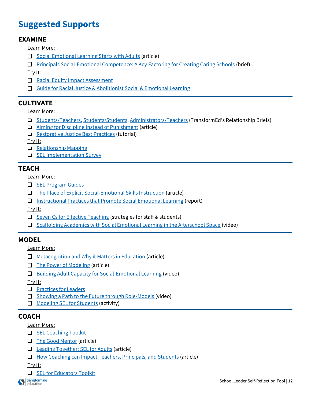## <span id="page-12-0"></span>**Suggested Supports**

## **EXAMINE**

Learn More:

- $\Box$  [Social Emotional Learning Starts with Adults](http://www.ascd.org/ascd-express/vol14/num04/Social-Emotional-Learning-Starts-with-Adults.aspx) (article)
- [Principals Social-Emotional Competence: A Key Factoring for Creating Caring Schools](https://www.prevention.psu.edu/uploads/files/RWJF-PSU-Principals-Brief-2019-Final.pdf) (brief)

Try It:

- [Racial Equity Impact Assessment](https://www.raceforward.org/practice/tools/racial-equity-impact-assessment-toolkit)
- [Guide for Racial Justice & Abolitionist Social & Emotional Learning](https://img1.wsimg.com/blobby/go/8d4b8aa7-b12e-4df8-9836-081a29841523/downloads/ATN%20Guide%20to%20Racial%20and%20Restorative%20Justice%20in.pdf?ver=1602204304341)

## **CULTIVATE**

Learn More:

- □ [Students/Teachers,](http://bit.ly/relsbrief1) [Students/Students,](http://bit.ly/relsbrief2) [Administrators/Teachers](http://bit.ly/relsbrief3) (TransformEd's Relationship Briefs)
- $\Box$  [Aiming for Discipline Instead of Punishment](https://www.edutopia.org/article/aiming-discipline-instead-punishment) (article)
- □ [Restorative Justice Best Practices](http://restorativejustice.org/restorative-justice/about-restorative-justice/tutorial-intro-to-restorative-justice/#sthash.6EyzwVoF.dpbs) (tutorial)

Try It:

- $\Box$  [Relationship Mapping](https://mcc.gse.harvard.edu/resources-for-educators/relationship-mapping-strategy)
- **Q** [SEL Implementation Survey](https://schoolguide.casel.org/resource/tool-staff-family-and-community-partner-survey-on-sel-implementation/)

## **TEACH**

Learn More:

- $\Box$  [SEL Program Guides](https://casel.org/guide/)
- $\Box$  [The Place of Explicit Social-Emotional Skills Instruction](https://www.cfchildren.org/blog/2018/09/the-place-of-explicit-social-emotional-skills-instruction/) (article)
- $\Box$  [Instructional Practices that Promote Social Emotional Learning](https://gtlcenter.org/sites/default/files/TeachingtheWholeChild.pdf) (report)

Try It:

- $\Box$  [Seven Cs for Effective Teaching](http://www.ascd.org/publications/educational-leadership/sept16/vol74/num01/Seven-Cs-for-Effective-Teaching.aspx) (strategies for staff & students)
- $\Box$  [Scaffolding Academics with Social Emotional Learning in the Afterschool Space](https://www.edutopia.org/video/scaffolding-academics-social-and-emotional-skills-afterschool-space) (video)

## **MODEL**

Learn More:

- **I** [Metacognition and Why it Matters in Education](https://www.gettingsmart.com/2019/10/metacognition-and-why-it-matters-in-education/) (article)
- $\Box$  [The Power of Modeling](https://theinstructionalcoachacademy.com/index.php/2019/01/28/the-power-of-modeling/) (article)
- **[Building Adult Capacity for Social-Emotional Learning](https://youtu.be/cht0Lm0rBAY) (video)**

Try It:

- **[Practices for Leaders](https://schoolguide.casel.org/focus-area-2/model/practices-for-leaders/)**
- $\Box$  [Showing a Path to the Future through Role-Models](https://www.edutopia.org/video/showing-path-future-through-role-models) (video)
- $\Box$  [Modeling SEL for Students](https://ggie.berkeley.edu/practice/modeling-sel-for-students/#tab__2) (activity)

## **COACH**

Learn More:

- SEL [Coaching](https://www.air.org/sites/default/files/downloads/report/Social-and-Emotional-Learning-SEL-Coaching-Toolkit-August-2017.pdf) Toolkit
- [The Good Mentor](http://www.ascd.org/publications/educational-leadership/may99/vol56/num08/The-Good-Mentor.aspx) (article)
- □ [Leading Together: SEL for Adults](http://www.ascd.org/publications/educational-leadership/oct18/vol76/num02/SEL-for-Adults.aspx) (article)
- □ How [Coaching can Impact Teachers, Principals, and Students](https://www.edutopia.org/blog/coaching-impact-teachers-principals-students-elena-aguilar) (article)

Try It:

 $\Box$  [SEL for Educators Toolkit](https://bit.ly/EducatorSELToolkit)